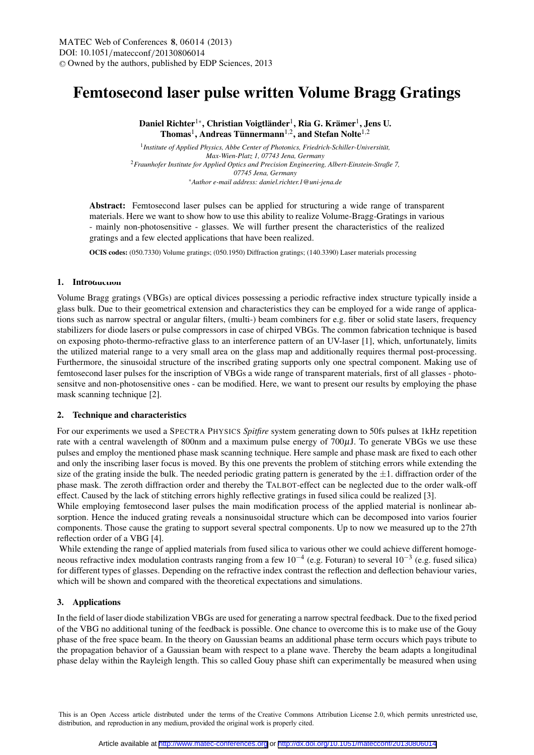# Femtosecond laser pulse written Volume Bragg Gratings

Daniel Richter $^{1*}$ , Christian Voigtländer $^{1}$ , Ria G. Krämer $^{1}$ , Jens U. Thomas<sup>1</sup>, Andreas Tünnermann<sup>1,2</sup>, and Stefan Nolte<sup>1,2</sup>

1 *Institute of Applied Physics, Abbe Center of Photonics, Friedrich-Schiller-Universität, Max-Wien-Platz 1, 07743 Jena, Germany* <sup>2</sup>*Fraunhofer Institute for Applied Optics and Precision Engineering, Albert-Einstein-Straße 7, 07745 Jena, Germany* <sup>∗</sup>*Author e-mail address: daniel.richter.1@uni-jena.de*

Abstract: Femtosecond laser pulses can be applied for structuring a wide range of transparent materials. Here we want to show how to use this ability to realize Volume-Bragg-Gratings in various - mainly non-photosensitive - glasses. We will further present the characteristics of the realized gratings and a few elected applications that have been realized.

OCIS codes: (050.7330) Volume gratings; (050.1950) Diffraction gratings; (140.3390) Laser materials processing

### 1. Introduction

Volume Bragg gratings (VBGs) are optical divices possessing a periodic refractive index structure typically inside a glass bulk. Due to their geometrical extension and characteristics they can be employed for a wide range of applications such as narrow spectral or angular filters, (multi-) beam combiners for e.g. fiber or solid state lasers, frequency stabilizers for diode lasers or pulse compressors in case of chirped VBGs. The common fabrication technique is based on exposing photo-thermo-refractive glass to an interference pattern of an UV-laser [1], which, unfortunately, limits the utilized material range to a very small area on the glass map and additionally requires thermal post-processing. Furthermore, the sinusoidal structure of the inscribed grating supports only one spectral component. Making use of femtosecond laser pulses for the inscription of VBGs a wide range of transparent materials, first of all glasses - photosensitve and non-photosensitive ones - can be modified. Here, we want to present our results by employing the phase mask scanning technique [2].

### 2. Technique and characteristics

For our experiments we used a SPECTRA PHYSICS *Spitfire* system generating down to 50fs pulses at 1kHz repetition rate with a central wavelength of 800nm and a maximum pulse energy of 700µJ. To generate VBGs we use these pulses and employ the mentioned phase mask scanning technique. Here sample and phase mask are fixed to each other and only the inscribing laser focus is moved. By this one prevents the problem of stitching errors while extending the size of the grating inside the bulk. The needed periodic grating pattern is generated by the  $\pm 1$ . diffraction order of the phase mask. The zeroth diffraction order and thereby the TALBOT-effect can be neglected due to the order walk-off effect. Caused by the lack of stitching errors highly reflective gratings in fused silica could be realized [3].

While employing femtosecond laser pulses the main modification process of the applied material is nonlinear absorption. Hence the induced grating reveals a nonsinusoidal structure which can be decomposed into varios fourier components. Those cause the grating to support several spectral components. Up to now we measured up to the 27th reflection order of a VBG [4].

While extending the range of applied materials from fused silica to various other we could achieve different homogeneous refractive index modulation contrasts ranging from a few  $10^{-4}$  (e.g. Foturan) to several  $10^{-3}$  (e.g. fused silica) for different types of glasses. Depending on the refractive index contrast the reflection and deflection behaviour varies, which will be shown and compared with the theoretical expectations and simulations.

## 3. Applications

In the field of laser diode stabilization VBGs are used for generating a narrow spectral feedback. Due to the fixed period of the VBG no additional tuning of the feedback is possible. One chance to overcome this is to make use of the Gouy phase of the free space beam. In the theory on Gaussian beams an additional phase term occurs which pays tribute to the propagation behavior of a Gaussian beam with respect to a plane wave. Thereby the beam adapts a longitudinal phase delay within the Rayleigh length. This so called Gouy phase shift can experimentally be measured when using

This is an Open Access article distributed under the terms of the Creative Commons Attribution License 2.0, which permits unrestricted use, distribution, and reproduction in any medium, provided the original work is properly cited.